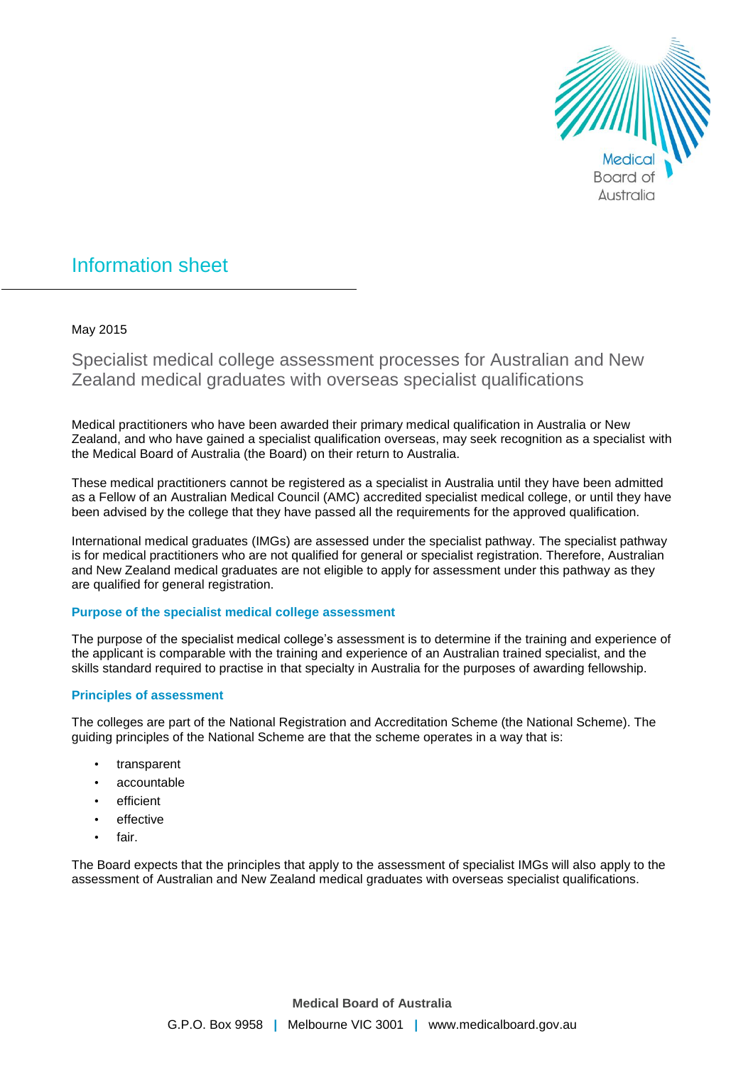

# Information sheet

# May 2015

Specialist medical college assessment processes for Australian and New Zealand medical graduates with overseas specialist qualifications

Medical practitioners who have been awarded their primary medical qualification in Australia or New Zealand, and who have gained a specialist qualification overseas, may seek recognition as a specialist with the Medical Board of Australia (the Board) on their return to Australia.

These medical practitioners cannot be registered as a specialist in Australia until they have been admitted as a Fellow of an Australian Medical Council (AMC) accredited specialist medical college, or until they have been advised by the college that they have passed all the requirements for the approved qualification.

International medical graduates (IMGs) are assessed under the specialist pathway. The specialist pathway is for medical practitioners who are not qualified for general or specialist registration. Therefore, Australian and New Zealand medical graduates are not eligible to apply for assessment under this pathway as they are qualified for general registration.

### **Purpose of the specialist medical college assessment**

The purpose of the specialist medical college's assessment is to determine if the training and experience of the applicant is comparable with the training and experience of an Australian trained specialist, and the skills standard required to practise in that specialty in Australia for the purposes of awarding fellowship.

# **Principles of assessment**

The colleges are part of the National Registration and Accreditation Scheme (the National Scheme). The guiding principles of the National Scheme are that the scheme operates in a way that is:

- transparent
- accountable
- efficient
- effective
- fair.

The Board expects that the principles that apply to the assessment of specialist IMGs will also apply to the assessment of Australian and New Zealand medical graduates with overseas specialist qualifications.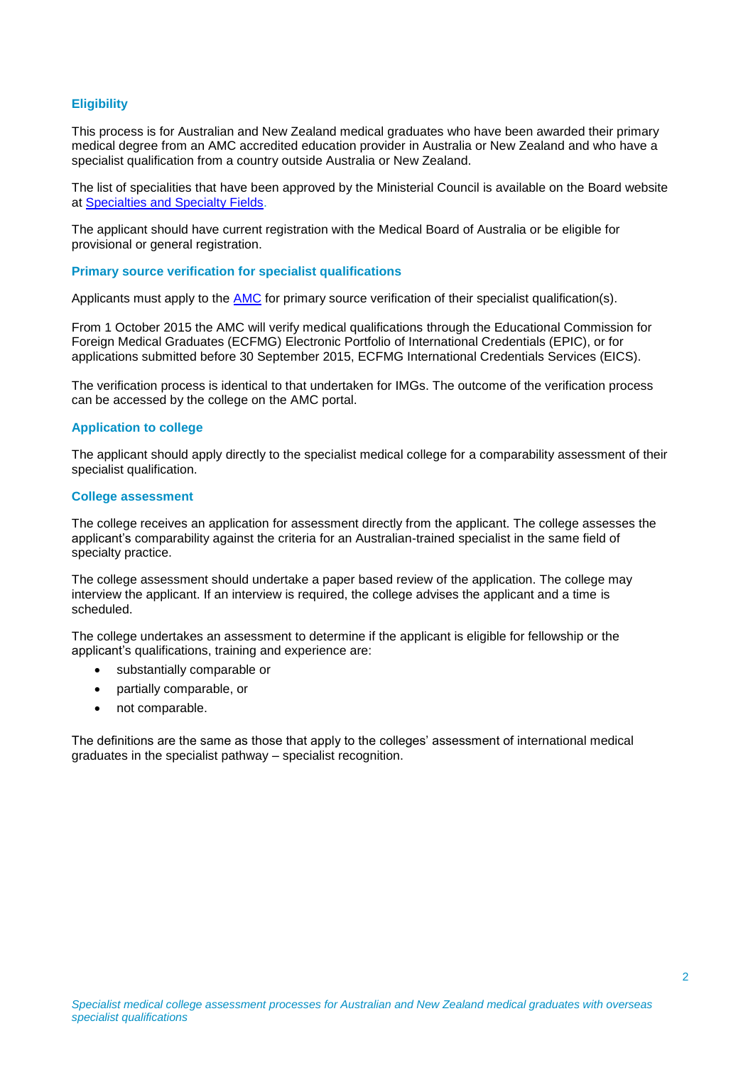# **Eligibility**

This process is for Australian and New Zealand medical graduates who have been awarded their primary medical degree from an AMC accredited education provider in Australia or New Zealand and who have a specialist qualification from a country outside Australia or New Zealand.

The list of specialities that have been approved by the Ministerial Council is available on the Board website at Specialties and Specialty Fields.

The applicant should have current registration with the Medical Board of Australia or be eligible for provisional or general registration.

### **Primary source verification for specialist qualifications**

Applicants must apply to the [AMC](http://www.amc.org.au/assessment/psv) for primary source verification of their specialist qualification(s).

From 1 October 2015 the AMC will verify medical qualifications through the Educational Commission for Foreign Medical Graduates (ECFMG) Electronic Portfolio of International Credentials (EPIC), or for applications submitted before 30 September 2015, ECFMG International Credentials Services (EICS).

The verification process is identical to that undertaken for IMGs. The outcome of the verification process can be accessed by the college on the AMC portal.

### **Application to college**

The applicant should apply directly to the specialist medical college for a comparability assessment of their specialist qualification.

#### **College assessment**

The college receives an application for assessment directly from the applicant. The college assesses the applicant's comparability against the criteria for an Australian-trained specialist in the same field of specialty practice.

The college assessment should undertake a paper based review of the application. The college may interview the applicant. If an interview is required, the college advises the applicant and a time is scheduled.

The college undertakes an assessment to determine if the applicant is eligible for fellowship or the applicant's qualifications, training and experience are:

- substantially comparable or
- partially comparable, or
- not comparable.

The definitions are the same as those that apply to the colleges' assessment of international medical graduates in the specialist pathway – specialist recognition.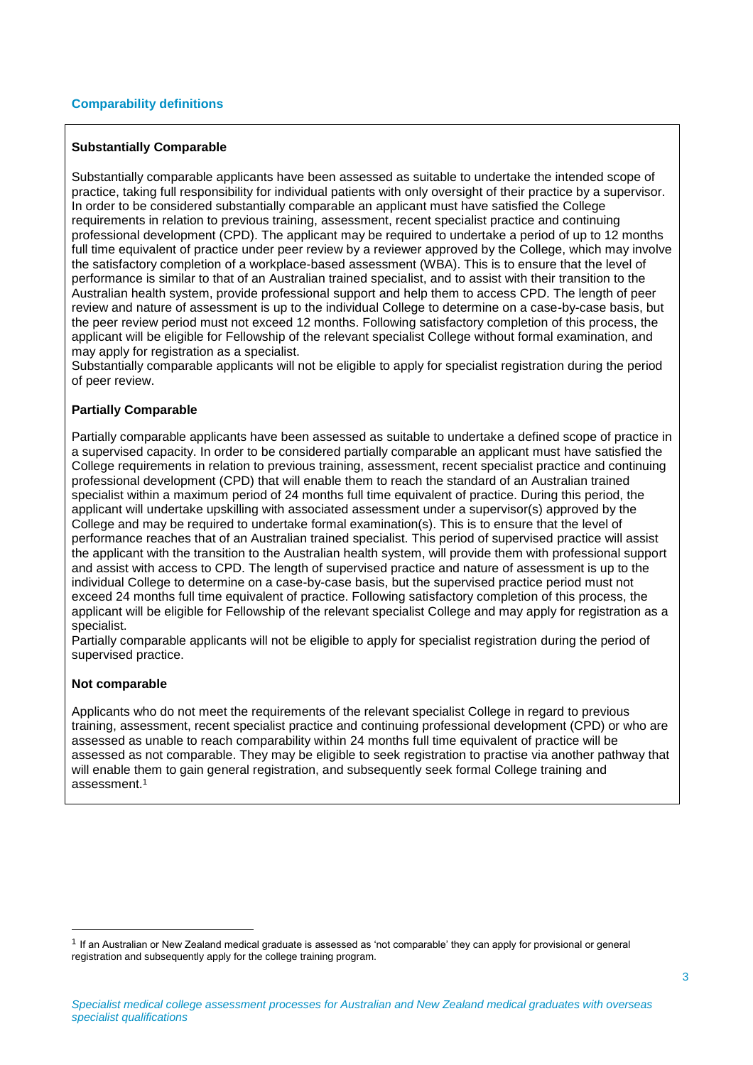# **Substantially Comparable**

Substantially comparable applicants have been assessed as suitable to undertake the intended scope of practice, taking full responsibility for individual patients with only oversight of their practice by a supervisor. In order to be considered substantially comparable an applicant must have satisfied the College requirements in relation to previous training, assessment, recent specialist practice and continuing professional development (CPD). The applicant may be required to undertake a period of up to 12 months full time equivalent of practice under peer review by a reviewer approved by the College, which may involve the satisfactory completion of a workplace-based assessment (WBA). This is to ensure that the level of performance is similar to that of an Australian trained specialist, and to assist with their transition to the Australian health system, provide professional support and help them to access CPD. The length of peer review and nature of assessment is up to the individual College to determine on a case-by-case basis, but the peer review period must not exceed 12 months. Following satisfactory completion of this process, the applicant will be eligible for Fellowship of the relevant specialist College without formal examination, and may apply for registration as a specialist.

Substantially comparable applicants will not be eligible to apply for specialist registration during the period of peer review.

# **Partially Comparable**

Partially comparable applicants have been assessed as suitable to undertake a defined scope of practice in a supervised capacity. In order to be considered partially comparable an applicant must have satisfied the College requirements in relation to previous training, assessment, recent specialist practice and continuing professional development (CPD) that will enable them to reach the standard of an Australian trained specialist within a maximum period of 24 months full time equivalent of practice. During this period, the applicant will undertake upskilling with associated assessment under a supervisor(s) approved by the College and may be required to undertake formal examination(s). This is to ensure that the level of performance reaches that of an Australian trained specialist. This period of supervised practice will assist the applicant with the transition to the Australian health system, will provide them with professional support and assist with access to CPD. The length of supervised practice and nature of assessment is up to the individual College to determine on a case-by-case basis, but the supervised practice period must not exceed 24 months full time equivalent of practice. Following satisfactory completion of this process, the applicant will be eligible for Fellowship of the relevant specialist College and may apply for registration as a specialist.

Partially comparable applicants will not be eligible to apply for specialist registration during the period of supervised practice.

### **Not comparable**

 $\overline{\phantom{a}}$ 

Applicants who do not meet the requirements of the relevant specialist College in regard to previous training, assessment, recent specialist practice and continuing professional development (CPD) or who are assessed as unable to reach comparability within 24 months full time equivalent of practice will be assessed as not comparable. They may be eligible to seek registration to practise via another pathway that will enable them to gain general registration, and subsequently seek formal College training and assessment.<sup>1</sup>

<sup>&</sup>lt;sup>1</sup> If an Australian or New Zealand medical graduate is assessed as 'not comparable' they can apply for provisional or general registration and subsequently apply for the college training program.